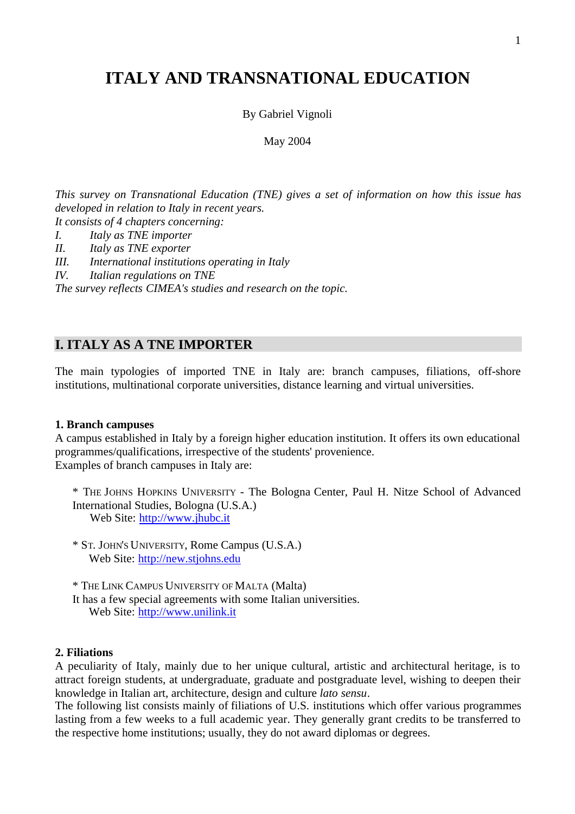# **ITALY AND TRANSNATIONAL EDUCATION**

By Gabriel Vignoli

May 2004

*This survey on Transnational Education (TNE) gives a set of information on how this issue has developed in relation to Italy in recent years.*

*It consists of 4 chapters concerning:*

*I. Italy as TNE importer*

*II. Italy as TNE exporter*

*III. International institutions operating in Italy*

*IV. Italian regulations on TNE*

*The survey reflects CIMEA's studies and research on the topic.*

## **I. ITALY AS A TNE IMPORTER**

The main typologies of imported TNE in Italy are: branch campuses, filiations, off-shore institutions, multinational corporate universities, distance learning and virtual universities.

### **1. Branch campuses**

A campus established in Italy by a foreign higher education institution. It offers its own educational programmes/qualifications, irrespective of the students' provenience. Examples of branch campuses in Italy are:

\* THE JOHNS HOPKINS UNIVERSITY - The Bologna Center, Paul H. Nitze School of Advanced International Studies, Bologna (U.S.A.) Web Site: <http://www.jhubc.it>

\* ST. JOHN'S UNIVERSITY, Rome Campus (U.S.A.) Web Site: <http://new.stjohns.edu>

\* THE LINK CAMPUS UNIVERSITY OF MALTA (Malta)

It has a few special agreements with some Italian universities. Web Site: <http://www.unilink.it>

## **2. Filiations**

A peculiarity of Italy, mainly due to her unique cultural, artistic and architectural heritage, is to attract foreign students, at undergraduate, graduate and postgraduate level, wishing to deepen their knowledge in Italian art, architecture, design and culture *lato sensu*.

The following list consists mainly of filiations of U.S. institutions which offer various programmes lasting from a few weeks to a full academic year. They generally grant credits to be transferred to the respective home institutions; usually, they do not award diplomas or degrees.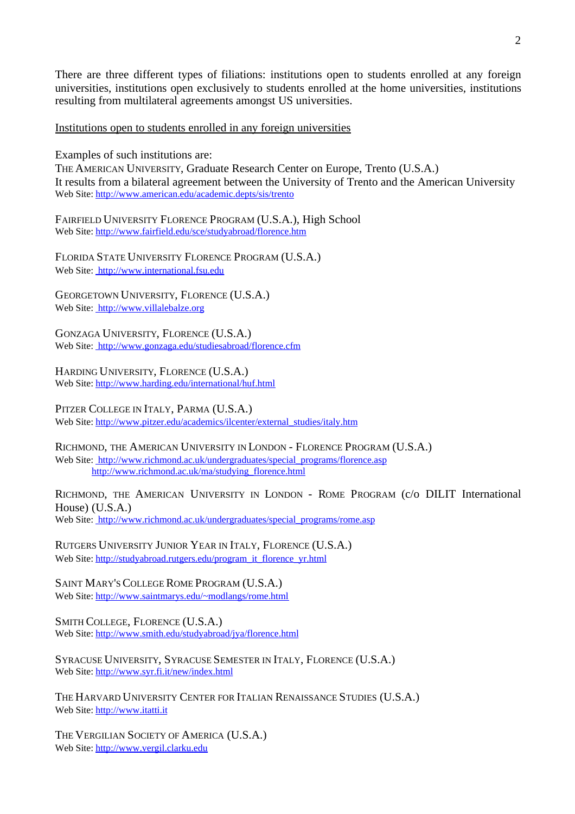There are three different types of filiations: institutions open to students enrolled at any foreign universities, institutions open exclusively to students enrolled at the home universities, institutions resulting from multilateral agreements amongst US universities.

Institutions open to students enrolled in any foreign universities

Examples of such institutions are:

THE AMERICAN UNIVERSITY, Graduate Research Center on Europe, Trento (U.S.A.) It results from a bilateral agreement between the University of Trento and the American University Web Site:<http://www.american.edu/academic.depts/sis/trento>

FAIRFIELD UNIVERSITY FLORENCE PROGRAM (U.S.A.), High School Web Site:<http://www.fairfield.edu/sce/studyabroad/florence.htm>

FLORIDA STATE UNIVERSITY FLORENCE PROGRAM (U.S.A.) Web Site: <http://www.international.fsu.edu>

GEORGETOWN UNIVERSITY, FLORENCE (U.S.A.) Web Site: <http://www.villalebalze.org>

GONZAGA UNIVERSITY, FLORENCE (U.S.A.) Web Site: <http://www.gonzaga.edu/studiesabroad/florence.cfm>

HARDING UNIVERSITY, FLORENCE (U.S.A.) Web Site:<http://www.harding.edu/international/huf.html>

PITZER COLLEGE IN ITALY, PARMA (U.S.A.) Web Site: [http://www.pitzer.edu/academics/ilcenter/external\\_studies/italy.htm](http://www.pitzer.edu/academics/ilcenter/external_studies/italy.htm) 

RICHMOND, THE AMERICAN UNIVERSITY IN LONDON - FLORENCE PROGRAM (U.S.A.) Web Site: http://www.richmond.ac.uk/undergraduates/special\_programs/florence.asp [http://www.richmond.ac.uk/ma/studying\\_florence.html](http://www.richmond.ac.uk/ma/studying_florence.html) 

RICHMOND, THE AMERICAN UNIVERSITY IN LONDON - ROME PROGRAM (c/o DILIT International House) (U.S.A.) Web Site: http://www.richmond.ac.uk/undergraduates/special\_programs/rome.asp

RUTGERS UNIVERSITY JUNIOR YEAR IN ITALY, FLORENCE (U.S.A.) Web Site: http://studyabroad.rutgers.edu/program\_it\_florence\_yr.html

SAINT MARY'S COLLEGE ROME PROGRAM (U.S.A.) Web Site: http://www.saintmarys.edu/~modlangs/rome.html

SMITH COLLEGE, FLORENCE (U.S.A.) Web Site:<http://www.smith.edu/studyabroad/jya/florence.html>

SYRACUSE UNIVERSITY, SYRACUSE SEMESTER IN ITALY, FLORENCE (U.S.A.) Web Site:<http://www.syr.fi.it/new/index.html>

THE HARVARD UNIVERSITY CENTER FOR ITALIAN RENAISSANCE STUDIES (U.S.A.) Web Site:<http://www.itatti.it>

THE VERGILIAN SOCIETY OF AMERICA (U.S.A.) Web Site:<http://www.vergil.clarku.edu>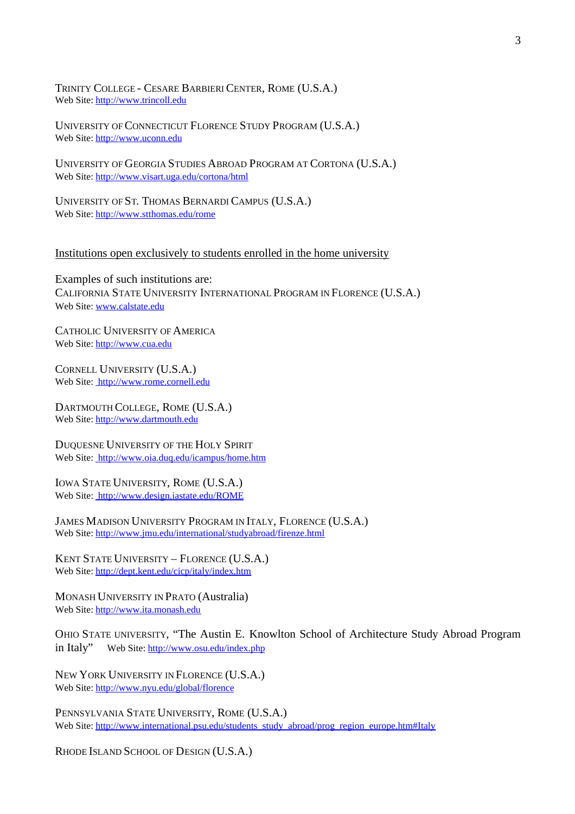TRINITY COLLEGE - CESARE BARBIERI CENTER, ROME (U.S.A.) Web Site:<http://www.trincoll.edu>

UNIVERSITY OF CONNECTICUT FLORENCE STUDY PROGRAM (U.S.A.) Web Site:<http://www.uconn.edu>

UNIVERSITY OF GEORGIA STUDIES ABROAD PROGRAM AT CORTONA (U.S.A.) Web Site:<http://www.visart.uga.edu/cortona/html>

UNIVERSITY OF ST. THOMAS BERNARDI CAMPUS (U.S.A.) Web Site:<http://www.stthomas.edu/rome>

#### Institutions open exclusively to students enrolled in the home university

Examples of such institutions are: CALIFORNIA STATE UNIVERSITY INTERNATIONAL PROGRAM IN FLORENCE (U.S.A.) Web Site: www.calstate.edu

CATHOLIC UNIVERSITY OF AMERICA Web Site:<http://www.cua.edu>

CORNELL UNIVERSITY (U.S.A.) Web Site: <http://www.rome.cornell.edu>

DARTMOUTH COLLEGE, ROME (U.S.A.) Web Site:<http://www.dartmouth.edu>

DUQUESNE UNIVERSITY OF THE HOLY SPIRIT Web Site: <http://www.oia.duq.edu/icampus/home.htm>

IOWA STATE UNIVERSITY, ROME (U.S.A.) Web Site: <http://www.design.iastate.edu/ROME>

JAMES MADISON UNIVERSITY PROGRAM IN ITALY, FLORENCE (U.S.A.) Web Site:<http://www.jmu.edu/international/studyabroad/firenze.html>

KENT STATE UNIVERSITY – FLORENCE (U.S.A.) Web Site:<http://dept.kent.edu/cicp/italy/index.htm>

MONASH UNIVERSITY IN PRATO (Australia) Web Site:<http://www.ita.monash.edu>

OHIO STATE UNIVERSITY, "The Austin E. Knowlton School of Architecture Study Abroad Program in Italy" Web Site: http://www.osu.edu/index.php

NEW YORK UNIVERSITY IN FLORENCE (U.S.A.) Web Site:<http://www.nyu.edu/global/florence>

PENNSYLVANIA STATE UNIVERSITY, ROME (U.S.A.) Web Site: http://www.international.psu.edu/students\_study\_abroad/prog\_region\_europe.htm#Italy

RHODE ISLAND SCHOOL OF DESIGN (U.S.A.)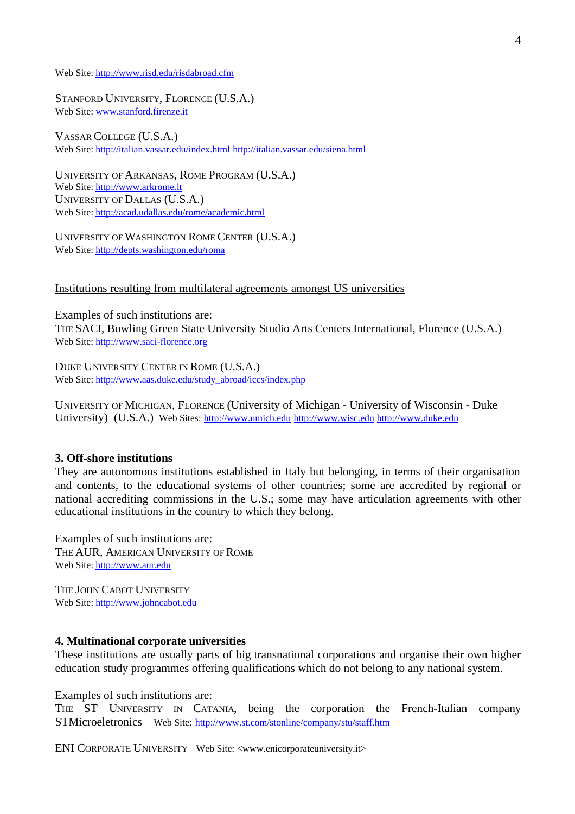Web Site:<http://www.risd.edu/risdabroad.cfm>

STANFORD UNIVERSITY, FLORENCE (U.S.A.) Web Site: www.stanford.firenze.it

VASSAR COLLEGE (U.S.A.) Web Site:<http://italian.vassar.edu/index.html><http://italian.vassar.edu/siena.html>

UNIVERSITY OF ARKANSAS, ROME PROGRAM (U.S.A.) Web Site:<http://www.arkrome.it> UNIVERSITY OF DALLAS (U.S.A.) Web Site:<http://acad.udallas.edu/rome/academic.html>

UNIVERSITY OF WASHINGTON ROME CENTER (U.S.A.) Web Site:<http://depts.washington.edu/roma>

#### Institutions resulting from multilateral agreements amongst US universities

Examples of such institutions are: THE SACI, Bowling Green State University Studio Arts Centers International, Florence (U.S.A.) Web Site:<http://www.saci-florence.org>

DUKE UNIVERSITY CENTER IN ROME (U.S.A.) Web Site: http://www.aas.duke.edu/study\_abroad/iccs/index.php

UNIVERSITY OF MICHIGAN, FLORENCE (University of Michigan - University of Wisconsin - Duke University) (U.S.A.) Web Sites: <http://www.umich.edu><http://www.wisc.edu><http://www.duke.edu>

#### **3. Off-shore institutions**

They are autonomous institutions established in Italy but belonging, in terms of their organisation and contents, to the educational systems of other countries; some are accredited by regional or national accrediting commissions in the U.S.; some may have articulation agreements with other educational institutions in the country to which they belong.

Examples of such institutions are: THE AUR, AMERICAN UNIVERSITY OF ROME Web Site:<http://www.aur.edu>

THE JOHN CABOT UNIVERSITY Web Site:<http://www.johncabot.edu>

### **4. Multinational corporate universities**

These institutions are usually parts of big transnational corporations and organise their own higher education study programmes offering qualifications which do not belong to any national system.

Examples of such institutions are:

THE ST UNIVERSITY IN CATANIA, being the corporation the French-Italian company STMicroeletronics Web Site: http://www.st.com/stonline/company/stu/staff.htm

ENI CORPORATE UNIVERSITY Web Site: <www.enicorporateuniversity.it>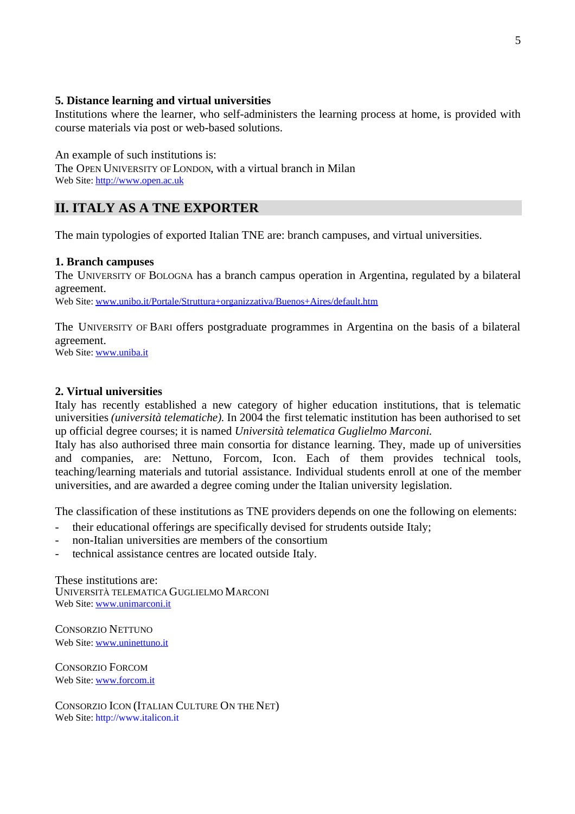## **5. Distance learning and virtual universities**

Institutions where the learner, who self-administers the learning process at home, is provided with course materials via post or web-based solutions.

An example of such institutions is: The OPEN UNIVERSITY OF LONDON, with a virtual branch in Milan Web Site:<http://www.open.ac.uk>

## **II. ITALY AS A TNE EXPORTER**

The main typologies of exported Italian TNE are: branch campuses, and virtual universities.

## **1. Branch campuses**

The UNIVERSITY OF BOLOGNA has a branch campus operation in Argentina, regulated by a bilateral agreement.

Web Site: www.unibo.it/Portale/Struttura+organizzativa/Buenos+Aires/default.htm

The UNIVERSITY OF BARI offers postgraduate programmes in Argentina on the basis of a bilateral agreement.

Web Site: www.uniba.it

## **2. Virtual universities**

Italy has recently established a new category of higher education institutions, that is telematic universities *(università telematiche)*. In 2004 the first telematic institution has been authorised to set up official degree courses; it is named *Università telematica Guglielmo Marconi*.

Italy has also authorised three main consortia for distance learning. They, made up of universities and companies, are: Nettuno, Forcom, Icon. Each of them provides technical tools, teaching/learning materials and tutorial assistance. Individual students enroll at one of the member universities, and are awarded a degree coming under the Italian university legislation.

The classification of these institutions as TNE providers depends on one the following on elements:

- their educational offerings are specifically devised for strudents outside Italy;
- non-Italian universities are members of the consortium
- technical assistance centres are located outside Italy.

These institutions are: UNIVERSITÀ TELEMATICA GUGLIELMO MARCONI Web Site: www.unimarconi.it

CONSORZIO NETTUNO Web Site: www.uninettuno.it

CONSORZIO FORCOM Web Site: www.forcom.it

CONSORZIO ICON (ITALIAN CULTURE ON THE NET) Web Site:<http://www.italicon.it>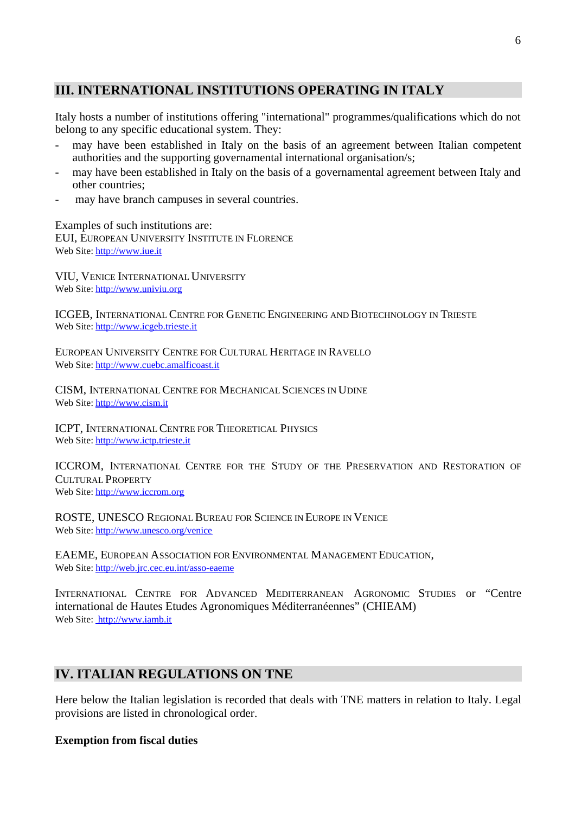## **III. INTERNATIONAL INSTITUTIONS OPERATING IN ITALY**

Italy hosts a number of institutions offering "international" programmes/qualifications which do not belong to any specific educational system. They:

- may have been established in Italy on the basis of an agreement between Italian competent authorities and the supporting governamental international organisation/s;
- may have been established in Italy on the basis of a governamental agreement between Italy and other countries;
- may have branch campuses in several countries.

Examples of such institutions are: EUI, EUROPEAN UNIVERSITY INSTITUTE IN FLORENCE Web Site:<http://www.iue.it>

VIU, VENICE INTERNATIONAL UNIVERSITY Web Site:<http://www.univiu.org>

ICGEB, INTERNATIONAL CENTRE FOR GENETIC ENGINEERING AND BIOTECHNOLOGY IN TRIESTE Web Site:<http://www.icgeb.trieste.it>

EUROPEAN UNIVERSITY CENTRE FOR CULTURAL HERITAGE IN RAVELLO Web Site:<http://www.cuebc.amalficoast.it>

CISM, INTERNATIONAL CENTRE FOR MECHANICAL SCIENCES IN UDINE Web Site:<http://www.cism.it>

ICPT, INTERNATIONAL CENTRE FOR THEORETICAL PHYSICS Web Site:<http://www.ictp.trieste.it>

ICCROM, INTERNATIONAL CENTRE FOR THE STUDY OF THE PRESERVATION AND RESTORATION OF CULTURAL PROPERTY Web Site:<http://www.iccrom.org>

ROSTE, UNESCO REGIONAL BUREAU FOR SCIENCE IN EUROPE IN VENICE Web Site:<http://www.unesco.org/venice>

EAEME, EUROPEAN ASSOCIATION FOR ENVIRONMENTAL MANAGEMENT EDUCATION, Web Site:<http://web.jrc.cec.eu.int/asso-eaeme>

INTERNATIONAL CENTRE FOR ADVANCED MEDITERRANEAN AGRONOMIC STUDIES or "Centre international de Hautes Etudes Agronomiques Méditerranéennes" (CHIEAM) Web Site: <http://www.iamb.it>

## **IV. ITALIAN REGULATIONS ON TNE**

Here below the Italian legislation is recorded that deals with TNE matters in relation to Italy. Legal provisions are listed in chronological order.

## **Exemption from fiscal duties**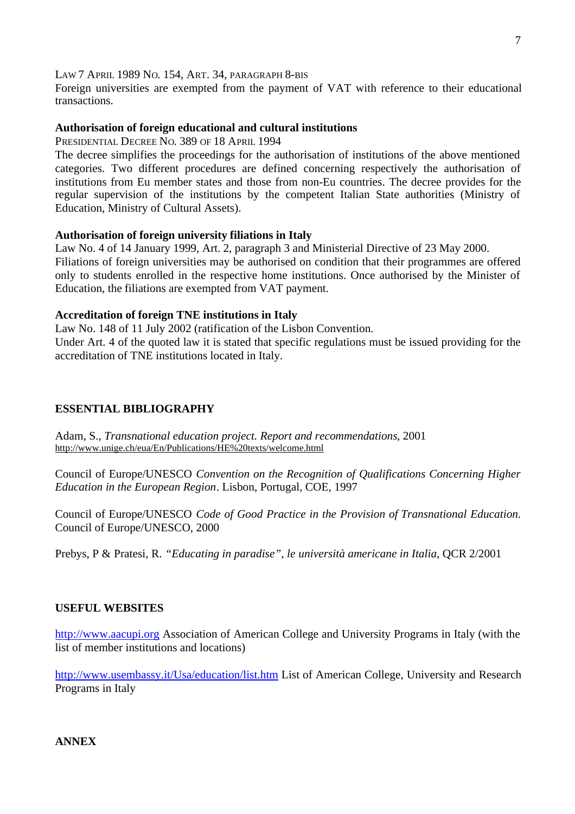## LAW 7 APRIL 1989 NO. 154, ART. 34, PARAGRAPH 8-BIS

Foreign universities are exempted from the payment of VAT with reference to their educational transactions.

## **Authorisation of foreign educational and cultural institutions**

PRESIDENTIAL DECREE NO. 389 OF 18 APRIL 1994

The decree simplifies the proceedings for the authorisation of institutions of the above mentioned categories. Two different procedures are defined concerning respectively the authorisation of institutions from Eu member states and those from non-Eu countries. The decree provides for the regular supervision of the institutions by the competent Italian State authorities (Ministry of Education, Ministry of Cultural Assets).

## **Authorisation of foreign university filiations in Italy**

Law No. 4 of 14 January 1999, Art. 2, paragraph 3 and Ministerial Directive of 23 May 2000. Filiations of foreign universities may be authorised on condition that their programmes are offered only to students enrolled in the respective home institutions. Once authorised by the Minister of Education, the filiations are exempted from VAT payment.

### **Accreditation of foreign TNE institutions in Italy**

Law No. 148 of 11 July 2002 (ratification of the Lisbon Convention.

Under Art. 4 of the quoted law it is stated that specific regulations must be issued providing for the accreditation of TNE institutions located in Italy.

## **ESSENTIAL BIBLIOGRAPHY**

Adam, S., *Transnational education project. Report and recommendations*, 2001 <http://www.unige.ch/eua/En/Publications/HE%20texts/welcome.html>

Council of Europe/UNESCO *Convention on the Recognition of Qualifications Concerning Higher Education in the European Region*. Lisbon, Portugal, COE, 1997

Council of Europe/UNESCO *Code of Good Practice in the Provision of Transnational Education*. Council of Europe/UNESCO, 2000

Prebys, P & Pratesi, R. *"Educating in paradise", le università americane in Italia*, QCR 2/2001

### **USEFUL WEBSITES**

<http://www.aacupi.org> Association of American College and University Programs in Italy (with the list of member institutions and locations)

<http://www.usembassy.it/Usa/education/list.htm> List of American College, University and Research Programs in Italy

**ANNEX**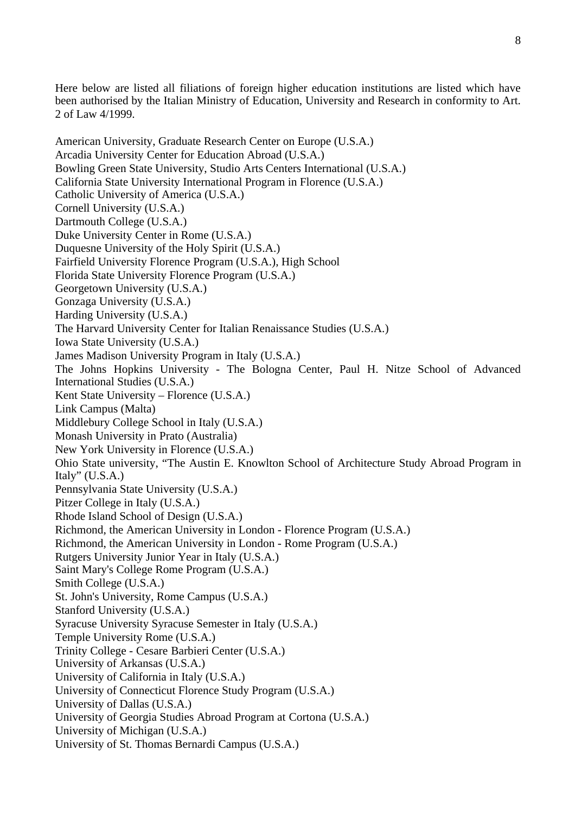Here below are listed all filiations of foreign higher education institutions are listed which have been authorised by the Italian Ministry of Education, University and Research in conformity to Art. 2 of Law 4/1999.

American University, Graduate Research Center on Europe (U.S.A.) Arcadia University Center for Education Abroad (U.S.A.) Bowling Green State University, Studio Arts Centers International (U.S.A.) California State University International Program in Florence (U.S.A.) Catholic University of America (U.S.A.) Cornell University (U.S.A.) Dartmouth College (U.S.A.) Duke University Center in Rome (U.S.A.) Duquesne University of the Holy Spirit (U.S.A.) Fairfield University Florence Program (U.S.A.), High School Florida State University Florence Program (U.S.A.) Georgetown University (U.S.A.) Gonzaga University (U.S.A.) Harding University (U.S.A.) The Harvard University Center for Italian Renaissance Studies (U.S.A.) Iowa State University (U.S.A.) James Madison University Program in Italy (U.S.A.) The Johns Hopkins University - The Bologna Center, Paul H. Nitze School of Advanced International Studies (U.S.A.) Kent State University – Florence (U.S.A.) Link Campus (Malta) Middlebury College School in Italy (U.S.A.) Monash University in Prato (Australia) New York University in Florence (U.S.A.) Ohio State university, "The Austin E. Knowlton School of Architecture Study Abroad Program in Italy" (U.S.A.) Pennsylvania State University (U.S.A.) Pitzer College in Italy (U.S.A.) Rhode Island School of Design (U.S.A.) Richmond, the American University in London - Florence Program (U.S.A.) Richmond, the American University in London - Rome Program (U.S.A.) Rutgers University Junior Year in Italy (U.S.A.) Saint Mary's College Rome Program (U.S.A.) Smith College (U.S.A.) St. John's University, Rome Campus (U.S.A.) Stanford University (U.S.A.) Syracuse University Syracuse Semester in Italy (U.S.A.) Temple University Rome (U.S.A.) Trinity College - Cesare Barbieri Center (U.S.A.) University of Arkansas (U.S.A.) University of California in Italy (U.S.A.) University of Connecticut Florence Study Program (U.S.A.) University of Dallas (U.S.A.) University of Georgia Studies Abroad Program at Cortona (U.S.A.) University of Michigan (U.S.A.) University of St. Thomas Bernardi Campus (U.S.A.)